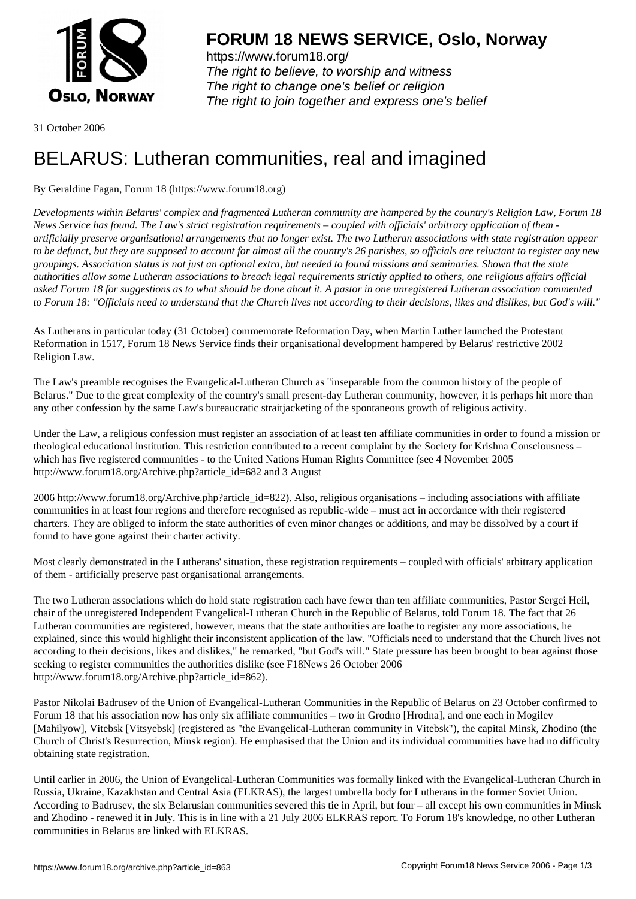

https://www.forum18.org/ The right to believe, to worship and witness The right to change one's belief or religion [The right to join together a](https://www.forum18.org/)nd express one's belief

31 October 2006

## [BELARUS: Luth](https://www.forum18.org)eran communities, real and imagined

## By Geraldine Fagan, Forum 18 (https://www.forum18.org)

*Developments within Belarus' complex and fragmented Lutheran community are hampered by the country's Religion Law, Forum 18 News Service has found. The Law's strict registration requirements – coupled with officials' arbitrary application of them artificially preserve organisational arrangements that no longer exist. The two Lutheran associations with state registration appear to be defunct, but they are supposed to account for almost all the country's 26 parishes, so officials are reluctant to register any new groupings. Association status is not just an optional extra, but needed to found missions and seminaries. Shown that the state authorities allow some Lutheran associations to breach legal requirements strictly applied to others, one religious affairs official asked Forum 18 for suggestions as to what should be done about it. A pastor in one unregistered Lutheran association commented to Forum 18: "Officials need to understand that the Church lives not according to their decisions, likes and dislikes, but God's will."*

As Lutherans in particular today (31 October) commemorate Reformation Day, when Martin Luther launched the Protestant Reformation in 1517, Forum 18 News Service finds their organisational development hampered by Belarus' restrictive 2002 Religion Law.

The Law's preamble recognises the Evangelical-Lutheran Church as "inseparable from the common history of the people of Belarus." Due to the great complexity of the country's small present-day Lutheran community, however, it is perhaps hit more than any other confession by the same Law's bureaucratic straitjacketing of the spontaneous growth of religious activity.

Under the Law, a religious confession must register an association of at least ten affiliate communities in order to found a mission or theological educational institution. This restriction contributed to a recent complaint by the Society for Krishna Consciousness – which has five registered communities - to the United Nations Human Rights Committee (see 4 November 2005 http://www.forum18.org/Archive.php?article\_id=682 and 3 August

2006 http://www.forum18.org/Archive.php?article\_id=822). Also, religious organisations – including associations with affiliate communities in at least four regions and therefore recognised as republic-wide – must act in accordance with their registered charters. They are obliged to inform the state authorities of even minor changes or additions, and may be dissolved by a court if found to have gone against their charter activity.

Most clearly demonstrated in the Lutherans' situation, these registration requirements – coupled with officials' arbitrary application of them - artificially preserve past organisational arrangements.

The two Lutheran associations which do hold state registration each have fewer than ten affiliate communities, Pastor Sergei Heil, chair of the unregistered Independent Evangelical-Lutheran Church in the Republic of Belarus, told Forum 18. The fact that 26 Lutheran communities are registered, however, means that the state authorities are loathe to register any more associations, he explained, since this would highlight their inconsistent application of the law. "Officials need to understand that the Church lives not according to their decisions, likes and dislikes," he remarked, "but God's will." State pressure has been brought to bear against those seeking to register communities the authorities dislike (see F18News 26 October 2006 http://www.forum18.org/Archive.php?article\_id=862).

Pastor Nikolai Badrusev of the Union of Evangelical-Lutheran Communities in the Republic of Belarus on 23 October confirmed to Forum 18 that his association now has only six affiliate communities – two in Grodno [Hrodna], and one each in Mogilev [Mahilyow], Vitebsk [Vitsyebsk] (registered as "the Evangelical-Lutheran community in Vitebsk"), the capital Minsk, Zhodino (the Church of Christ's Resurrection, Minsk region). He emphasised that the Union and its individual communities have had no difficulty obtaining state registration.

Until earlier in 2006, the Union of Evangelical-Lutheran Communities was formally linked with the Evangelical-Lutheran Church in Russia, Ukraine, Kazakhstan and Central Asia (ELKRAS), the largest umbrella body for Lutherans in the former Soviet Union. According to Badrusev, the six Belarusian communities severed this tie in April, but four – all except his own communities in Minsk and Zhodino - renewed it in July. This is in line with a 21 July 2006 ELKRAS report. To Forum 18's knowledge, no other Lutheran communities in Belarus are linked with ELKRAS.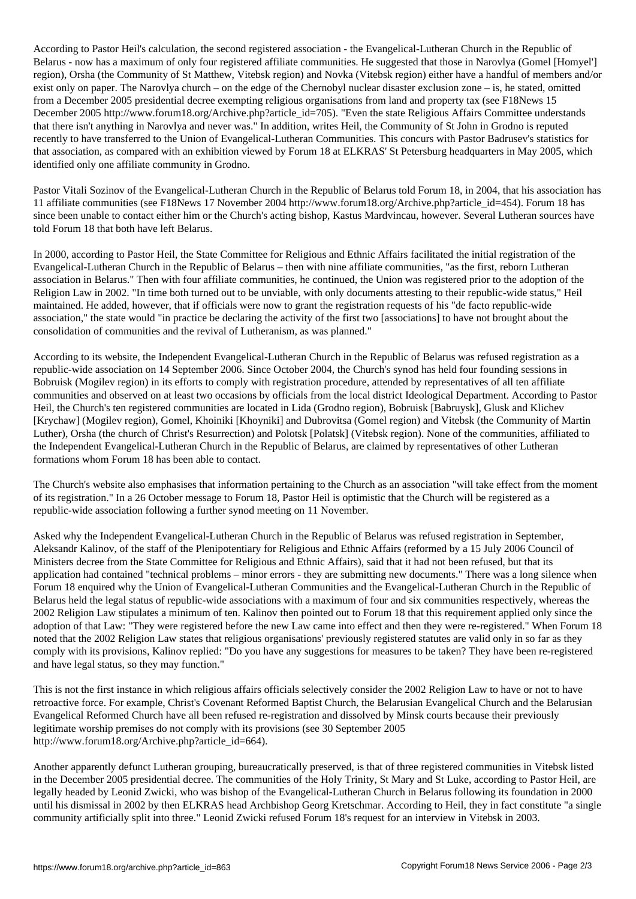According to Pastor Heil's calculation, the second registered association - the Evangelical-Lutheran Church in the Republic of Belarus - now has a maximum of only four registered affiliate communities. He suggested that those in Narovlya (Gomel [Homyel'] region), Orsha (the Community of St Matthew, Vitebsk region) and Novka (Vitebsk region) either have a handful of members and/or exist only on paper. The Narovlya church – on the edge of the Chernobyl nuclear disaster exclusion zone – is, he stated, omitted from a December 2005 presidential decree exempting religious organisations from land and property tax (see F18News 15 December 2005 http://www.forum18.org/Archive.php?article\_id=705). "Even the state Religious Affairs Committee understands that there isn't anything in Narovlya and never was." In addition, writes Heil, the Community of St John in Grodno is reputed recently to have transferred to the Union of Evangelical-Lutheran Communities. This concurs with Pastor Badrusev's statistics for that association, as compared with an exhibition viewed by Forum 18 at ELKRAS' St Petersburg headquarters in May 2005, which identified only one affiliate community in Grodno.

Pastor Vitali Sozinov of the Evangelical-Lutheran Church in the Republic of Belarus told Forum 18, in 2004, that his association has 11 affiliate communities (see F18News 17 November 2004 http://www.forum18.org/Archive.php?article\_id=454). Forum 18 has since been unable to contact either him or the Church's acting bishop, Kastus Mardvincau, however. Several Lutheran sources have told Forum 18 that both have left Belarus.

In 2000, according to Pastor Heil, the State Committee for Religious and Ethnic Affairs facilitated the initial registration of the Evangelical-Lutheran Church in the Republic of Belarus – then with nine affiliate communities, "as the first, reborn Lutheran association in Belarus." Then with four affiliate communities, he continued, the Union was registered prior to the adoption of the Religion Law in 2002. "In time both turned out to be unviable, with only documents attesting to their republic-wide status," Heil maintained. He added, however, that if officials were now to grant the registration requests of his "de facto republic-wide association," the state would "in practice be declaring the activity of the first two [associations] to have not brought about the consolidation of communities and the revival of Lutheranism, as was planned."

According to its website, the Independent Evangelical-Lutheran Church in the Republic of Belarus was refused registration as a republic-wide association on 14 September 2006. Since October 2004, the Church's synod has held four founding sessions in Bobruisk (Mogilev region) in its efforts to comply with registration procedure, attended by representatives of all ten affiliate communities and observed on at least two occasions by officials from the local district Ideological Department. According to Pastor Heil, the Church's ten registered communities are located in Lida (Grodno region), Bobruisk [Babruysk], Glusk and Klichev [Krychaw] (Mogilev region), Gomel, Khoiniki [Khoyniki] and Dubrovitsa (Gomel region) and Vitebsk (the Community of Martin Luther), Orsha (the church of Christ's Resurrection) and Polotsk [Polatsk] (Vitebsk region). None of the communities, affiliated to the Independent Evangelical-Lutheran Church in the Republic of Belarus, are claimed by representatives of other Lutheran formations whom Forum 18 has been able to contact.

The Church's website also emphasises that information pertaining to the Church as an association "will take effect from the moment of its registration." In a 26 October message to Forum 18, Pastor Heil is optimistic that the Church will be registered as a republic-wide association following a further synod meeting on 11 November.

Asked why the Independent Evangelical-Lutheran Church in the Republic of Belarus was refused registration in September, Aleksandr Kalinov, of the staff of the Plenipotentiary for Religious and Ethnic Affairs (reformed by a 15 July 2006 Council of Ministers decree from the State Committee for Religious and Ethnic Affairs), said that it had not been refused, but that its application had contained "technical problems – minor errors - they are submitting new documents." There was a long silence when Forum 18 enquired why the Union of Evangelical-Lutheran Communities and the Evangelical-Lutheran Church in the Republic of Belarus held the legal status of republic-wide associations with a maximum of four and six communities respectively, whereas the 2002 Religion Law stipulates a minimum of ten. Kalinov then pointed out to Forum 18 that this requirement applied only since the adoption of that Law: "They were registered before the new Law came into effect and then they were re-registered." When Forum 18 noted that the 2002 Religion Law states that religious organisations' previously registered statutes are valid only in so far as they comply with its provisions, Kalinov replied: "Do you have any suggestions for measures to be taken? They have been re-registered and have legal status, so they may function."

This is not the first instance in which religious affairs officials selectively consider the 2002 Religion Law to have or not to have retroactive force. For example, Christ's Covenant Reformed Baptist Church, the Belarusian Evangelical Church and the Belarusian Evangelical Reformed Church have all been refused re-registration and dissolved by Minsk courts because their previously legitimate worship premises do not comply with its provisions (see 30 September 2005 http://www.forum18.org/Archive.php?article\_id=664).

Another apparently defunct Lutheran grouping, bureaucratically preserved, is that of three registered communities in Vitebsk listed in the December 2005 presidential decree. The communities of the Holy Trinity, St Mary and St Luke, according to Pastor Heil, are legally headed by Leonid Zwicki, who was bishop of the Evangelical-Lutheran Church in Belarus following its foundation in 2000 until his dismissal in 2002 by then ELKRAS head Archbishop Georg Kretschmar. According to Heil, they in fact constitute "a single community artificially split into three." Leonid Zwicki refused Forum 18's request for an interview in Vitebsk in 2003.